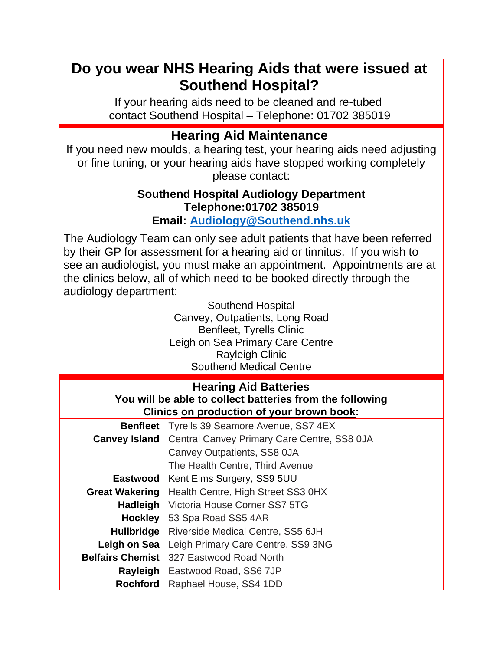## **Do you wear NHS Hearing Aids that were issued at Southend Hospital?**

If your hearing aids need to be cleaned and re-tubed contact Southend Hospital – Telephone: 01702 385019

## **Hearing Aid Maintenance**

If you need new moulds, a hearing test, your hearing aids need adjusting or fine tuning, or your hearing aids have stopped working completely please contact:

## **Southend Hospital Audiology Department Telephone:01702 385019**

## **Email: [Audiology@Southend.nhs.uk](mailto:Audiology@Southend.nhs.uk)**

The Audiology Team can only see adult patients that have been referred by their GP for assessment for a hearing aid or tinnitus. If you wish to see an audiologist, you must make an appointment. Appointments are at the clinics below, all of which need to be booked directly through the audiology department:

| <b>Southend Hospital</b>         |  |
|----------------------------------|--|
| Canvey, Outpatients, Long Road   |  |
| <b>Benfleet, Tyrells Clinic</b>  |  |
| Leigh on Sea Primary Care Centre |  |
| <b>Rayleigh Clinic</b>           |  |
| <b>Southend Medical Centre</b>   |  |

| <b>Hearing Aid Batteries</b>                             |
|----------------------------------------------------------|
| You will be able to collect batteries from the following |
| Clinics on production of your brown book:                |

| <b>Benfleet</b>         | Tyrells 39 Seamore Avenue, SS7 4EX          |
|-------------------------|---------------------------------------------|
| <b>Canvey Island</b>    | Central Canvey Primary Care Centre, SS8 0JA |
|                         | Canvey Outpatients, SS8 0JA                 |
|                         | The Health Centre, Third Avenue             |
| Eastwood                | Kent Elms Surgery, SS9 5UU                  |
| <b>Great Wakering</b>   | Health Centre, High Street SS3 0HX          |
| <b>Hadleigh</b>         | Victoria House Corner SS7 5TG               |
| <b>Hockley</b>          | 53 Spa Road SS5 4AR                         |
| <b>Hullbridge</b>       | Riverside Medical Centre, SS5 6JH           |
| Leigh on Sea            | Leigh Primary Care Centre, SS9 3NG          |
| <b>Belfairs Chemist</b> | 327 Eastwood Road North                     |
| Rayleigh                | Eastwood Road, SS6 7JP                      |
| <b>Rochford</b>         | Raphael House, SS4 1DD                      |